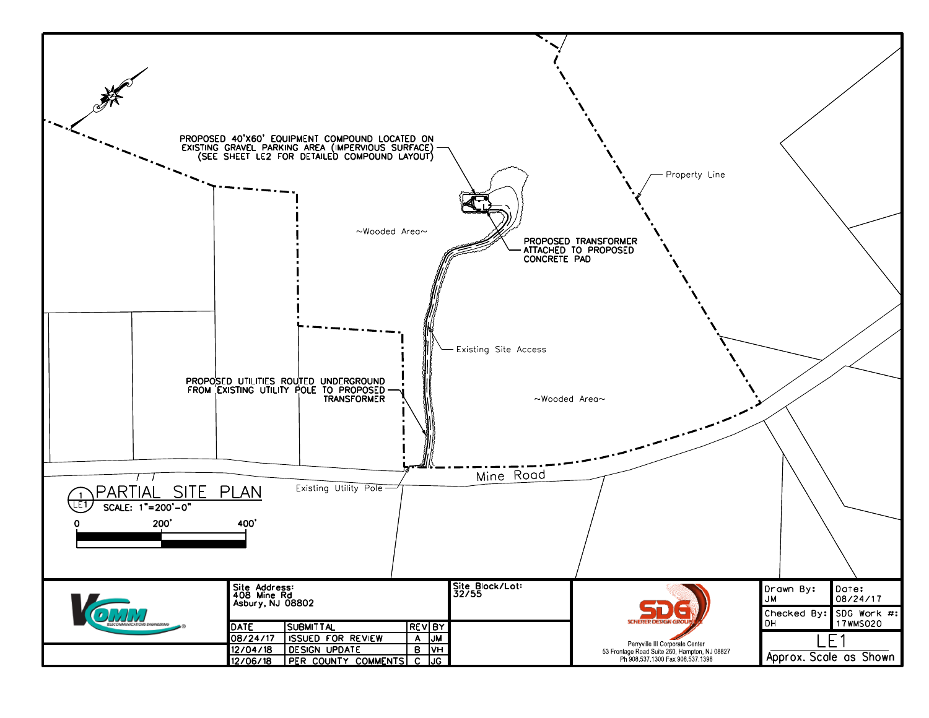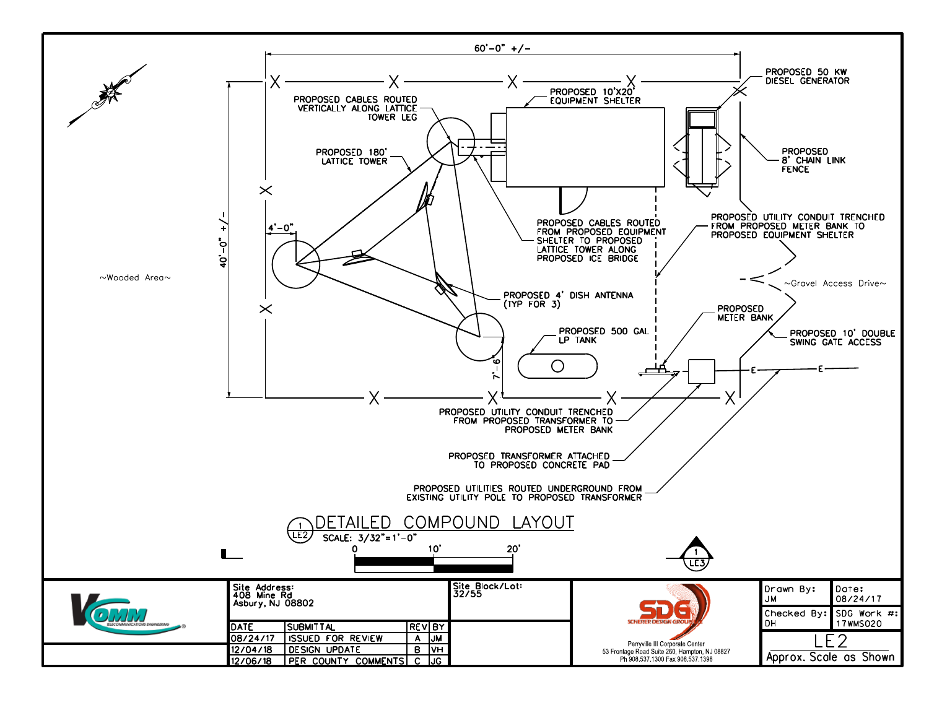